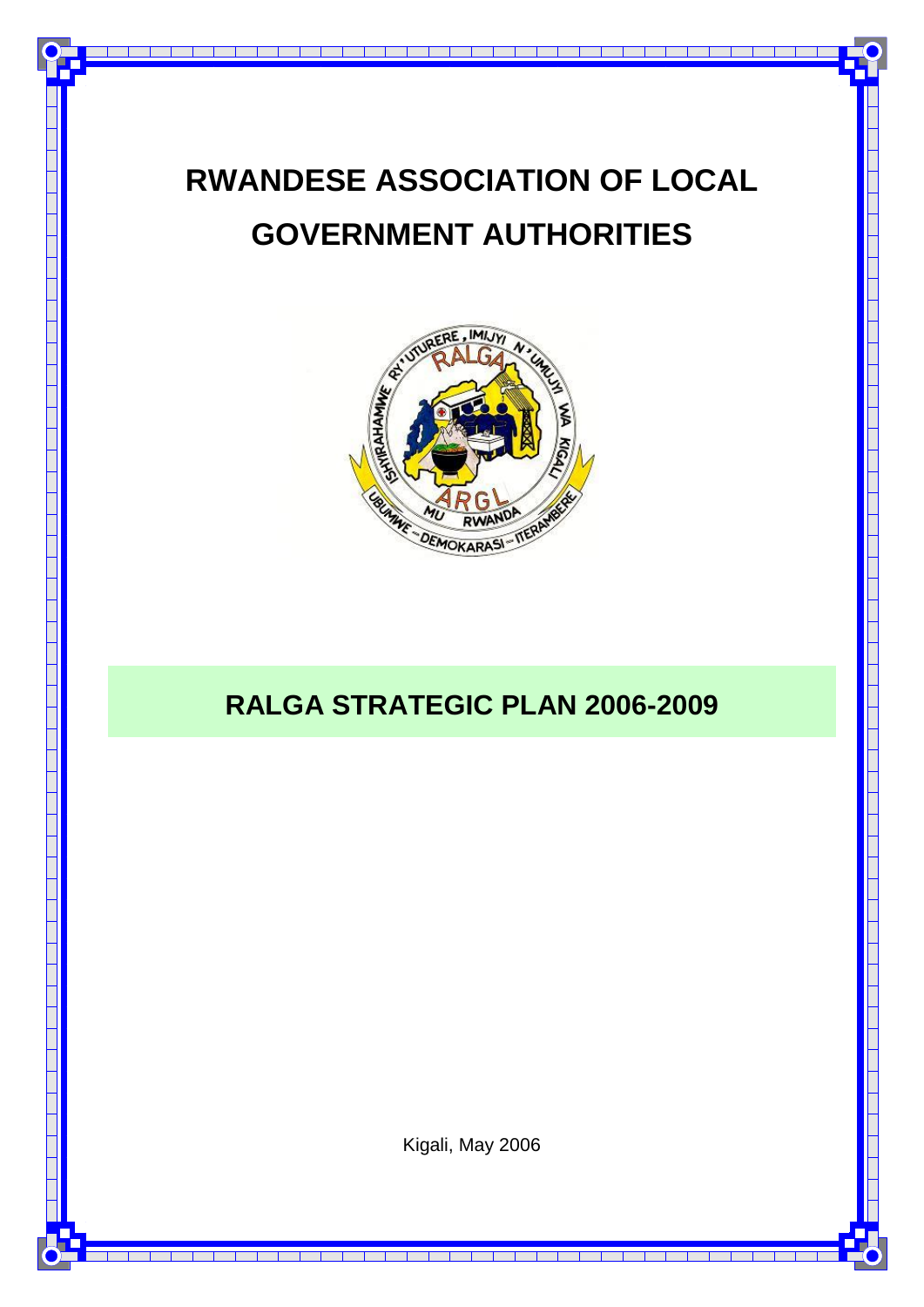# **RWANDESE ASSOCIATION OF LOCAL GOVERNMENT AUTHORITIES**



## **RALGA STRATEGIC PLAN 2006-2009**

Kigali, May 2006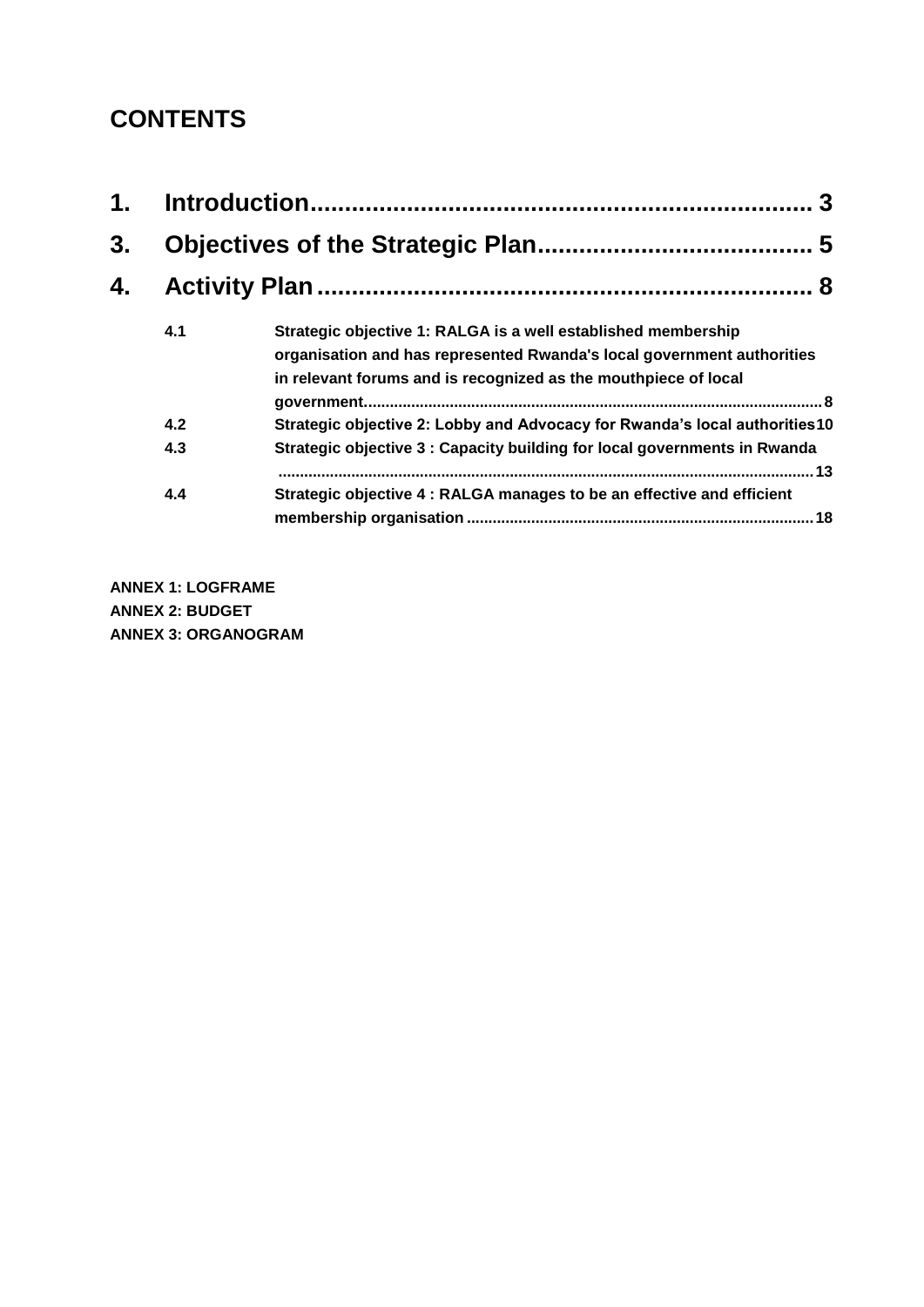## **CONTENTS**

| $\mathbf 1$ .<br>3.<br>4. |     |                                                                                                                                                                                                            |  |
|---------------------------|-----|------------------------------------------------------------------------------------------------------------------------------------------------------------------------------------------------------------|--|
|                           |     |                                                                                                                                                                                                            |  |
|                           |     |                                                                                                                                                                                                            |  |
|                           | 4.1 | Strategic objective 1: RALGA is a well established membership<br>organisation and has represented Rwanda's local government authorities<br>in relevant forums and is recognized as the mouthpiece of local |  |
|                           | 4.2 | Strategic objective 2: Lobby and Advocacy for Rwanda's local authorities10                                                                                                                                 |  |
|                           | 4.3 | Strategic objective 3 : Capacity building for local governments in Rwanda                                                                                                                                  |  |
|                           | 4.4 | Strategic objective 4 : RALGA manages to be an effective and efficient                                                                                                                                     |  |

**ANNEX 1: LOGFRAME ANNEX 2: BUDGET ANNEX 3: ORGANOGRAM**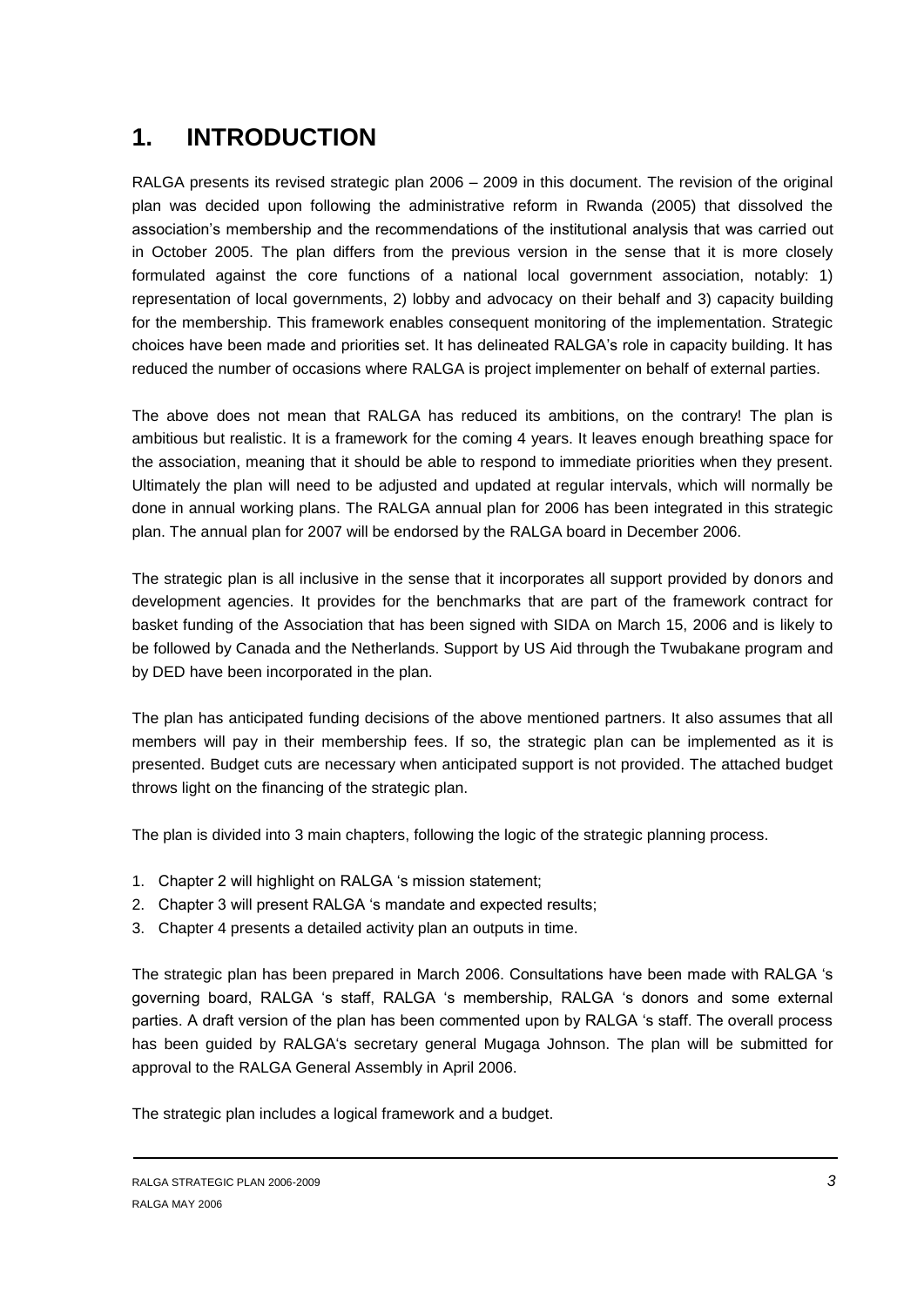## <span id="page-2-0"></span>**1. INTRODUCTION**

RALGA presents its revised strategic plan 2006 – 2009 in this document. The revision of the original plan was decided upon following the administrative reform in Rwanda (2005) that dissolved the association's membership and the recommendations of the institutional analysis that was carried out in October 2005. The plan differs from the previous version in the sense that it is more closely formulated against the core functions of a national local government association, notably: 1) representation of local governments, 2) lobby and advocacy on their behalf and 3) capacity building for the membership. This framework enables consequent monitoring of the implementation. Strategic choices have been made and priorities set. It has delineated RALGA's role in capacity building. It has reduced the number of occasions where RALGA is project implementer on behalf of external parties.

The above does not mean that RALGA has reduced its ambitions, on the contrary! The plan is ambitious but realistic. It is a framework for the coming 4 years. It leaves enough breathing space for the association, meaning that it should be able to respond to immediate priorities when they present. Ultimately the plan will need to be adjusted and updated at regular intervals, which will normally be done in annual working plans. The RALGA annual plan for 2006 has been integrated in this strategic plan. The annual plan for 2007 will be endorsed by the RALGA board in December 2006.

The strategic plan is all inclusive in the sense that it incorporates all support provided by donors and development agencies. It provides for the benchmarks that are part of the framework contract for basket funding of the Association that has been signed with SIDA on March 15, 2006 and is likely to be followed by Canada and the Netherlands. Support by US Aid through the Twubakane program and by DED have been incorporated in the plan.

The plan has anticipated funding decisions of the above mentioned partners. It also assumes that all members will pay in their membership fees. If so, the strategic plan can be implemented as it is presented. Budget cuts are necessary when anticipated support is not provided. The attached budget throws light on the financing of the strategic plan.

The plan is divided into 3 main chapters, following the logic of the strategic planning process.

- 1. Chapter 2 will highlight on RALGA 's mission statement;
- 2. Chapter 3 will present RALGA 's mandate and expected results;
- 3. Chapter 4 presents a detailed activity plan an outputs in time.

The strategic plan has been prepared in March 2006. Consultations have been made with RALGA 's governing board, RALGA 's staff, RALGA 's membership, RALGA 's donors and some external parties. A draft version of the plan has been commented upon by RALGA 's staff. The overall process has been guided by RALGA's secretary general Mugaga Johnson. The plan will be submitted for approval to the RALGA General Assembly in April 2006.

The strategic plan includes a logical framework and a budget.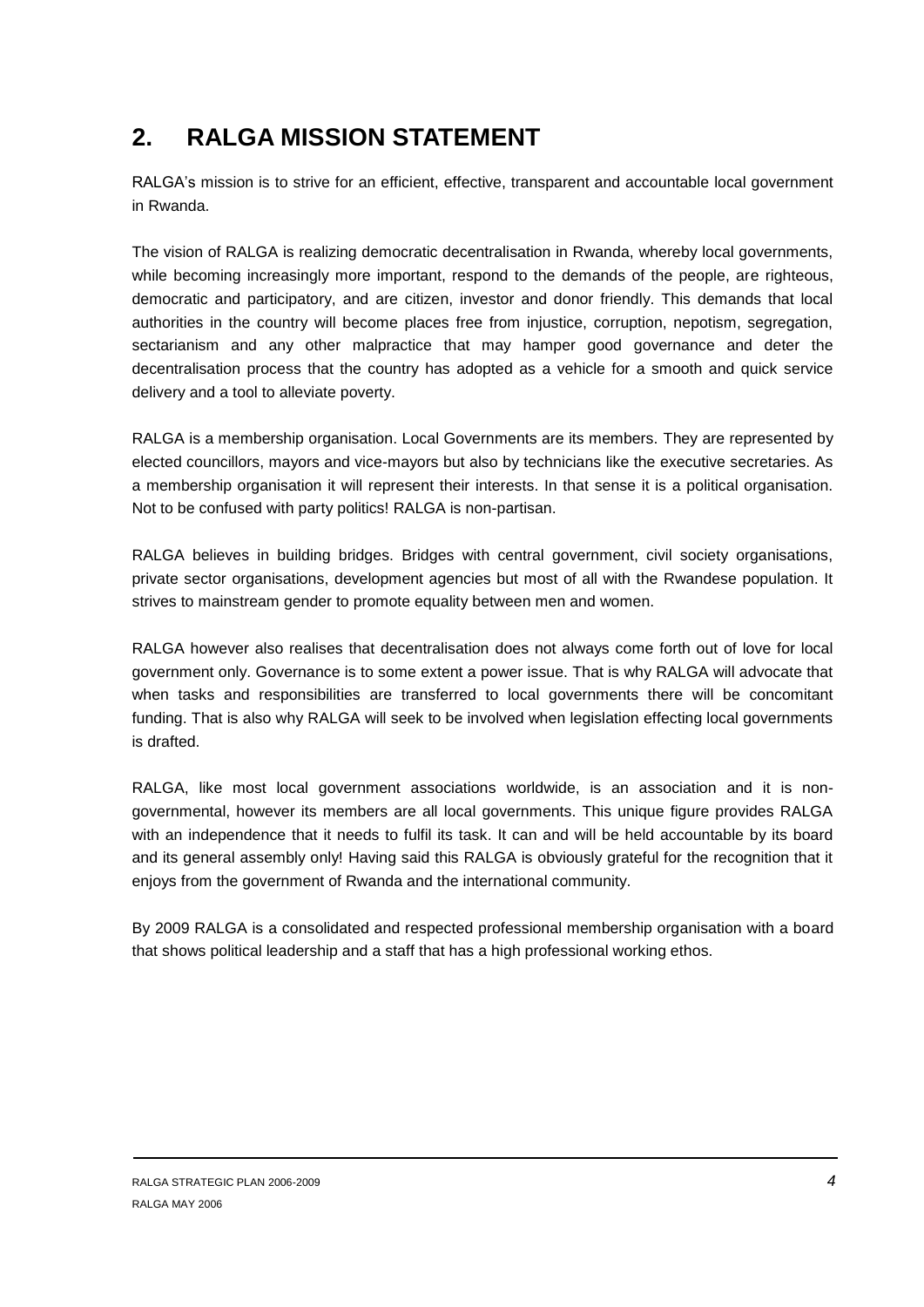## **2. RALGA MISSION STATEMENT**

RALGA's mission is to strive for an efficient, effective, transparent and accountable local government in Rwanda.

The vision of RALGA is realizing democratic decentralisation in Rwanda, whereby local governments, while becoming increasingly more important, respond to the demands of the people, are righteous, democratic and participatory, and are citizen, investor and donor friendly. This demands that local authorities in the country will become places free from injustice, corruption, nepotism, segregation, sectarianism and any other malpractice that may hamper good governance and deter the decentralisation process that the country has adopted as a vehicle for a smooth and quick service delivery and a tool to alleviate poverty.

RALGA is a membership organisation. Local Governments are its members. They are represented by elected councillors, mayors and vice-mayors but also by technicians like the executive secretaries. As a membership organisation it will represent their interests. In that sense it is a political organisation. Not to be confused with party politics! RALGA is non-partisan.

RALGA believes in building bridges. Bridges with central government, civil society organisations, private sector organisations, development agencies but most of all with the Rwandese population. It strives to mainstream gender to promote equality between men and women.

RALGA however also realises that decentralisation does not always come forth out of love for local government only. Governance is to some extent a power issue. That is why RALGA will advocate that when tasks and responsibilities are transferred to local governments there will be concomitant funding. That is also why RALGA will seek to be involved when legislation effecting local governments is drafted.

RALGA, like most local government associations worldwide, is an association and it is nongovernmental, however its members are all local governments. This unique figure provides RALGA with an independence that it needs to fulfil its task. It can and will be held accountable by its board and its general assembly only! Having said this RALGA is obviously grateful for the recognition that it enjoys from the government of Rwanda and the international community.

By 2009 RALGA is a consolidated and respected professional membership organisation with a board that shows political leadership and a staff that has a high professional working ethos.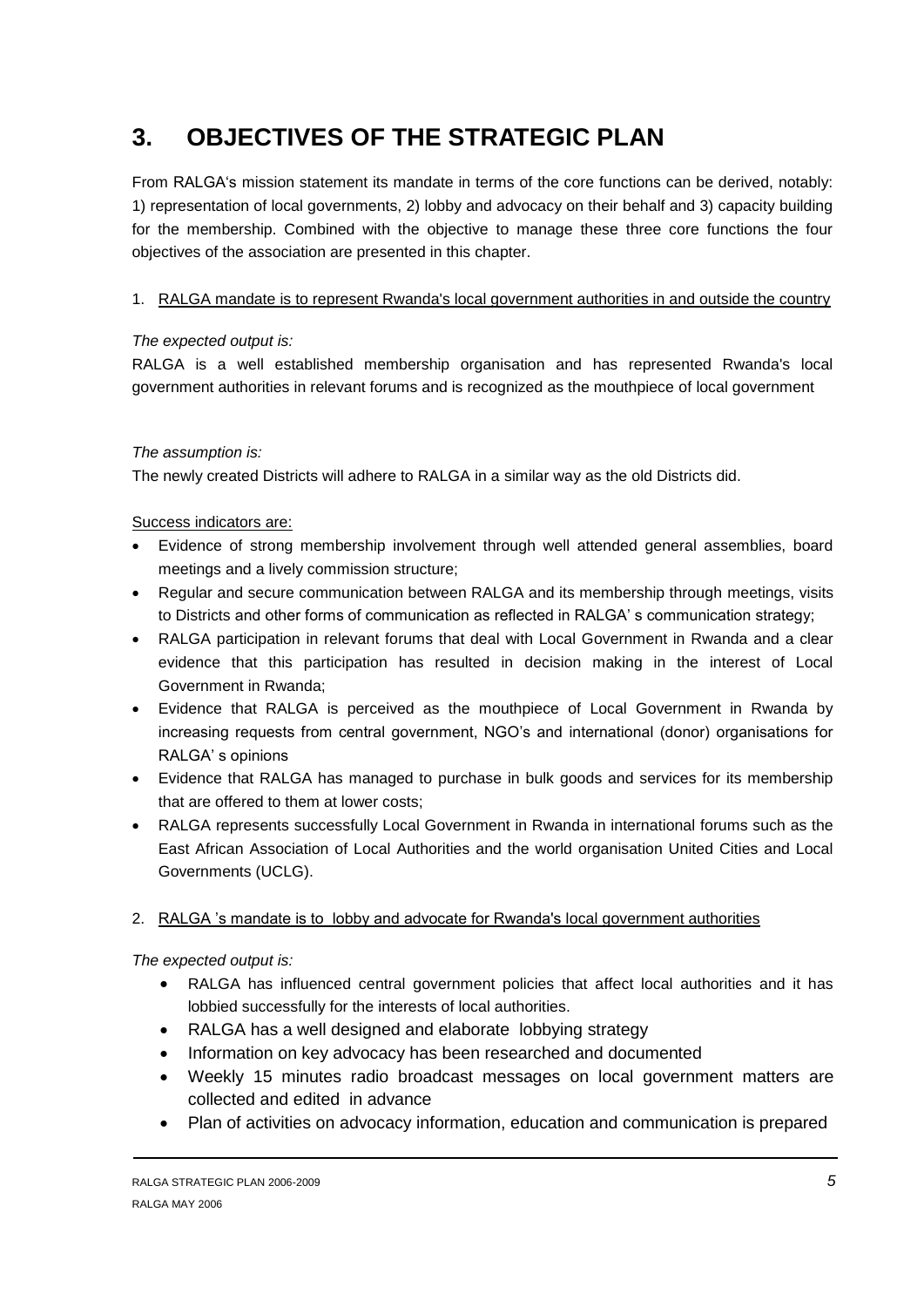## <span id="page-4-0"></span>**3. OBJECTIVES OF THE STRATEGIC PLAN**

From RALGA's mission statement its mandate in terms of the core functions can be derived, notably: 1) representation of local governments, 2) lobby and advocacy on their behalf and 3) capacity building for the membership. Combined with the objective to manage these three core functions the four objectives of the association are presented in this chapter.

## 1. RALGA mandate is to represent Rwanda's local government authorities in and outside the country

## *The expected output is:*

RALGA is a well established membership organisation and has represented Rwanda's local government authorities in relevant forums and is recognized as the mouthpiece of local government

## *The assumption is:*

The newly created Districts will adhere to RALGA in a similar way as the old Districts did.

## Success indicators are:

- Evidence of strong membership involvement through well attended general assemblies, board meetings and a lively commission structure;
- Regular and secure communication between RALGA and its membership through meetings, visits to Districts and other forms of communication as reflected in RALGA' s communication strategy;
- RALGA participation in relevant forums that deal with Local Government in Rwanda and a clear evidence that this participation has resulted in decision making in the interest of Local Government in Rwanda;
- Evidence that RALGA is perceived as the mouthpiece of Local Government in Rwanda by increasing requests from central government, NGO's and international (donor) organisations for RALGA' s opinions
- Evidence that RALGA has managed to purchase in bulk goods and services for its membership that are offered to them at lower costs;
- RALGA represents successfully Local Government in Rwanda in international forums such as the East African Association of Local Authorities and the world organisation United Cities and Local Governments (UCLG).

## 2. RALGA 's mandate is to lobby and advocate for Rwanda's local government authorities

*The expected output is:*

- RALGA has influenced central government policies that affect local authorities and it has lobbied successfully for the interests of local authorities.
- RALGA has a well designed and elaborate lobbying strategy
- Information on key advocacy has been researched and documented
- Weekly 15 minutes radio broadcast messages on local government matters are collected and edited in advance
- Plan of activities on advocacy information, education and communication is prepared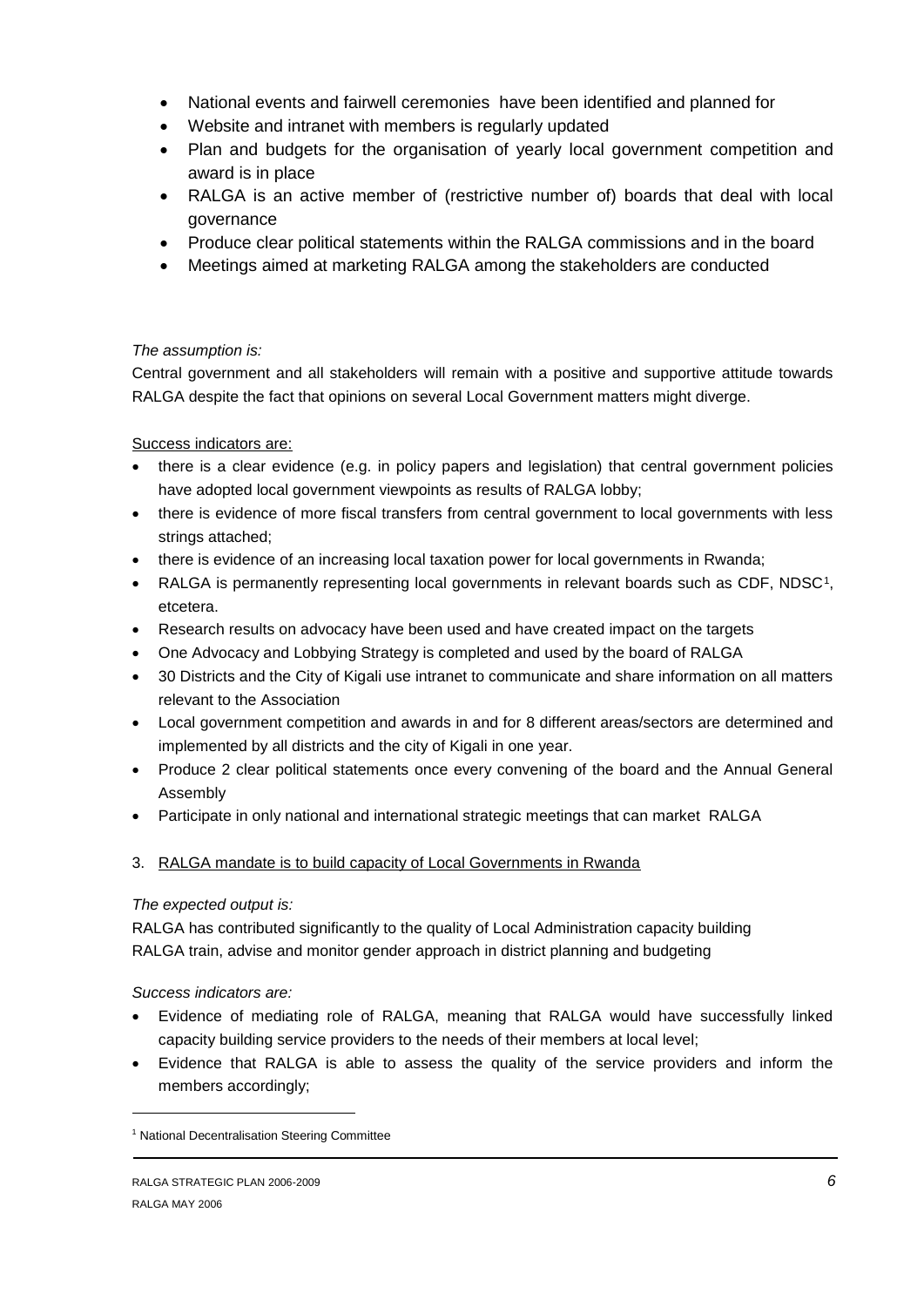- National events and fairwell ceremonies have been identified and planned for
- Website and intranet with members is regularly updated
- Plan and budgets for the organisation of yearly local government competition and award is in place
- RALGA is an active member of (restrictive number of) boards that deal with local governance
- Produce clear political statements within the RALGA commissions and in the board
- Meetings aimed at marketing RALGA among the stakeholders are conducted

## *The assumption is:*

Central government and all stakeholders will remain with a positive and supportive attitude towards RALGA despite the fact that opinions on several Local Government matters might diverge.

## Success indicators are:

- there is a clear evidence (e.g. in policy papers and legislation) that central government policies have adopted local government viewpoints as results of RALGA lobby;
- there is evidence of more fiscal transfers from central government to local governments with less strings attached;
- there is evidence of an increasing local taxation power for local governments in Rwanda;
- RALGA is permanently representing local governments in relevant boards such as CDF, NDSC<sup>1</sup>, etcetera.
- Research results on advocacy have been used and have created impact on the targets
- One Advocacy and Lobbying Strategy is completed and used by the board of RALGA
- 30 Districts and the City of Kigali use intranet to communicate and share information on all matters relevant to the Association
- Local government competition and awards in and for 8 different areas/sectors are determined and implemented by all districts and the city of Kigali in one year.
- Produce 2 clear political statements once every convening of the board and the Annual General Assembly
- Participate in only national and international strategic meetings that can market RALGA
- 3. RALGA mandate is to build capacity of Local Governments in Rwanda

## *The expected output is:*

RALGA has contributed significantly to the quality of Local Administration capacity building RALGA train, advise and monitor gender approach in district planning and budgeting

## *Success indicators are:*

-

- Evidence of mediating role of RALGA, meaning that RALGA would have successfully linked capacity building service providers to the needs of their members at local level;
- Evidence that RALGA is able to assess the quality of the service providers and inform the members accordingly;

<sup>&</sup>lt;sup>1</sup> National Decentralisation Steering Committee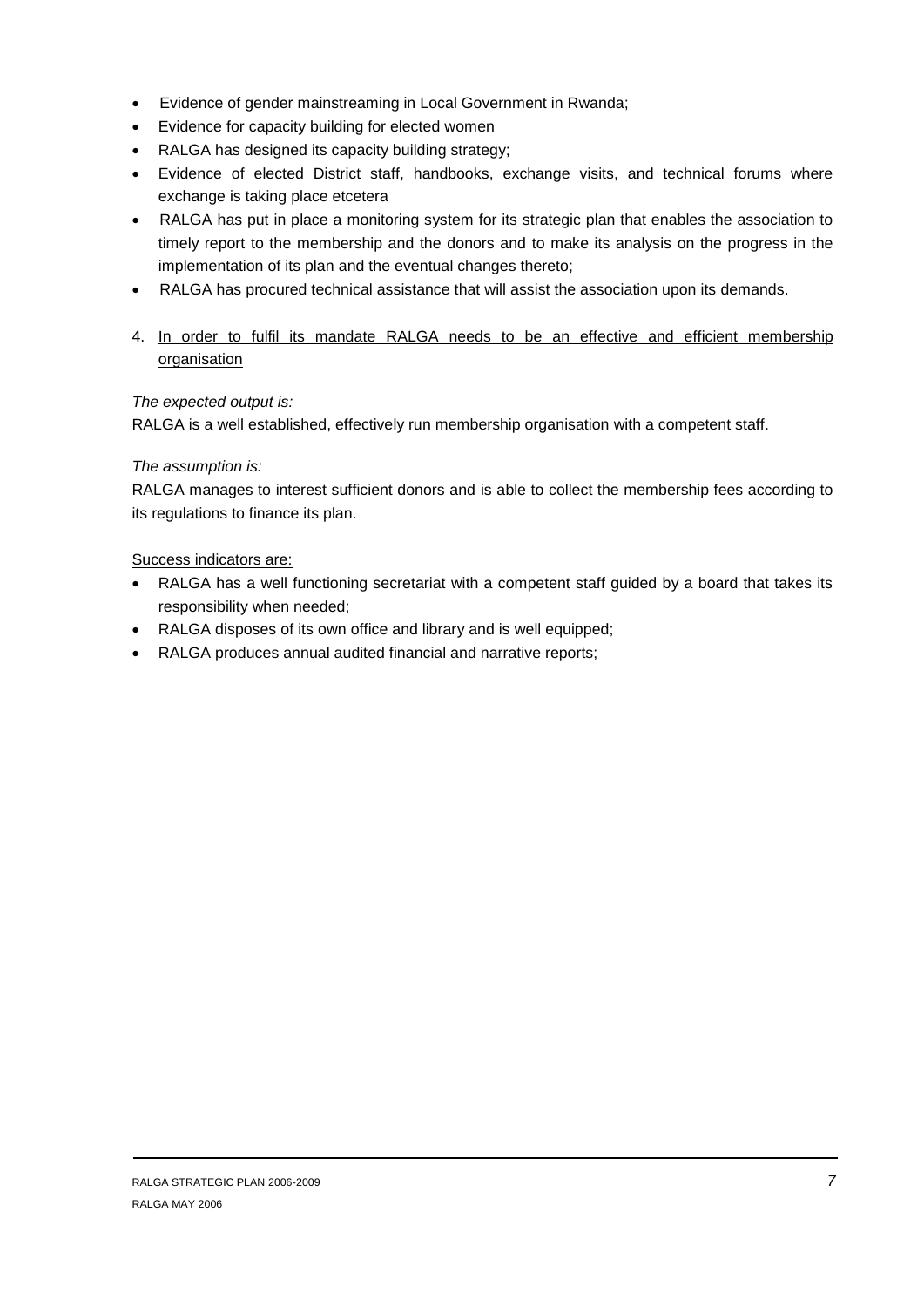- Evidence of gender mainstreaming in Local Government in Rwanda;
- Evidence for capacity building for elected women
- RALGA has designed its capacity building strategy;
- Evidence of elected District staff, handbooks, exchange visits, and technical forums where exchange is taking place etcetera
- RALGA has put in place a monitoring system for its strategic plan that enables the association to timely report to the membership and the donors and to make its analysis on the progress in the implementation of its plan and the eventual changes thereto;
- RALGA has procured technical assistance that will assist the association upon its demands.
- 4. In order to fulfil its mandate RALGA needs to be an effective and efficient membership organisation

## *The expected output is:*

RALGA is a well established, effectively run membership organisation with a competent staff.

#### *The assumption is:*

RALGA manages to interest sufficient donors and is able to collect the membership fees according to its regulations to finance its plan.

#### Success indicators are:

- RALGA has a well functioning secretariat with a competent staff guided by a board that takes its responsibility when needed;
- RALGA disposes of its own office and library and is well equipped;
- RALGA produces annual audited financial and narrative reports;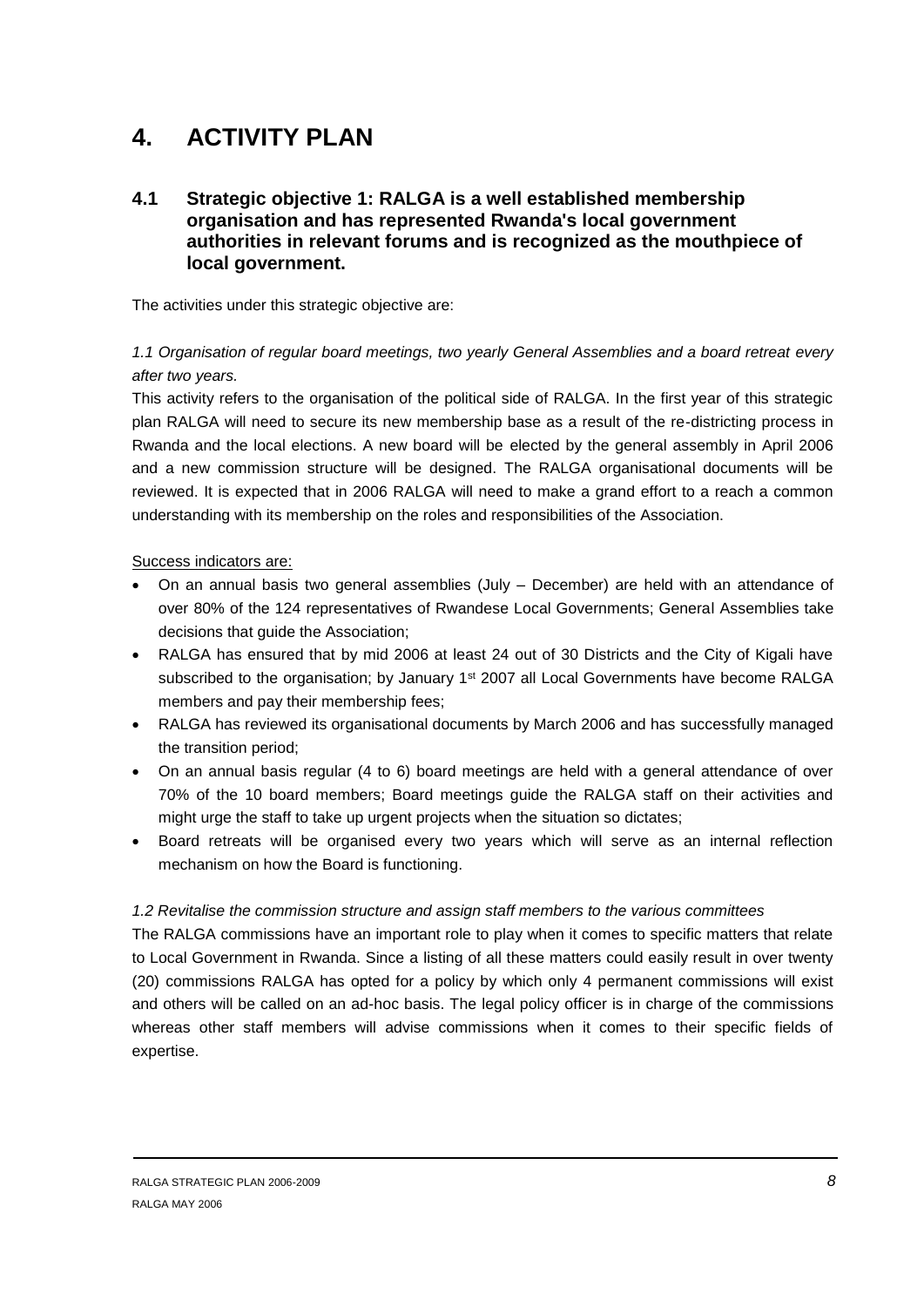## <span id="page-7-0"></span>**4. ACTIVITY PLAN**

## <span id="page-7-1"></span>**4.1 Strategic objective 1: RALGA is a well established membership organisation and has represented Rwanda's local government authorities in relevant forums and is recognized as the mouthpiece of local government.**

The activities under this strategic objective are:

## *1.1 Organisation of regular board meetings, two yearly General Assemblies and a board retreat every after two years.*

This activity refers to the organisation of the political side of RALGA. In the first year of this strategic plan RALGA will need to secure its new membership base as a result of the re-districting process in Rwanda and the local elections. A new board will be elected by the general assembly in April 2006 and a new commission structure will be designed. The RALGA organisational documents will be reviewed. It is expected that in 2006 RALGA will need to make a grand effort to a reach a common understanding with its membership on the roles and responsibilities of the Association.

#### Success indicators are:

- On an annual basis two general assemblies (July December) are held with an attendance of over 80% of the 124 representatives of Rwandese Local Governments; General Assemblies take decisions that guide the Association;
- RALGA has ensured that by mid 2006 at least 24 out of 30 Districts and the City of Kigali have subscribed to the organisation; by January 1<sup>st</sup> 2007 all Local Governments have become RALGA members and pay their membership fees;
- RALGA has reviewed its organisational documents by March 2006 and has successfully managed the transition period;
- On an annual basis regular (4 to 6) board meetings are held with a general attendance of over 70% of the 10 board members; Board meetings guide the RALGA staff on their activities and might urge the staff to take up urgent projects when the situation so dictates;
- Board retreats will be organised every two years which will serve as an internal reflection mechanism on how the Board is functioning.

#### *1.2 Revitalise the commission structure and assign staff members to the various committees*

The RALGA commissions have an important role to play when it comes to specific matters that relate to Local Government in Rwanda. Since a listing of all these matters could easily result in over twenty (20) commissions RALGA has opted for a policy by which only 4 permanent commissions will exist and others will be called on an ad-hoc basis. The legal policy officer is in charge of the commissions whereas other staff members will advise commissions when it comes to their specific fields of expertise.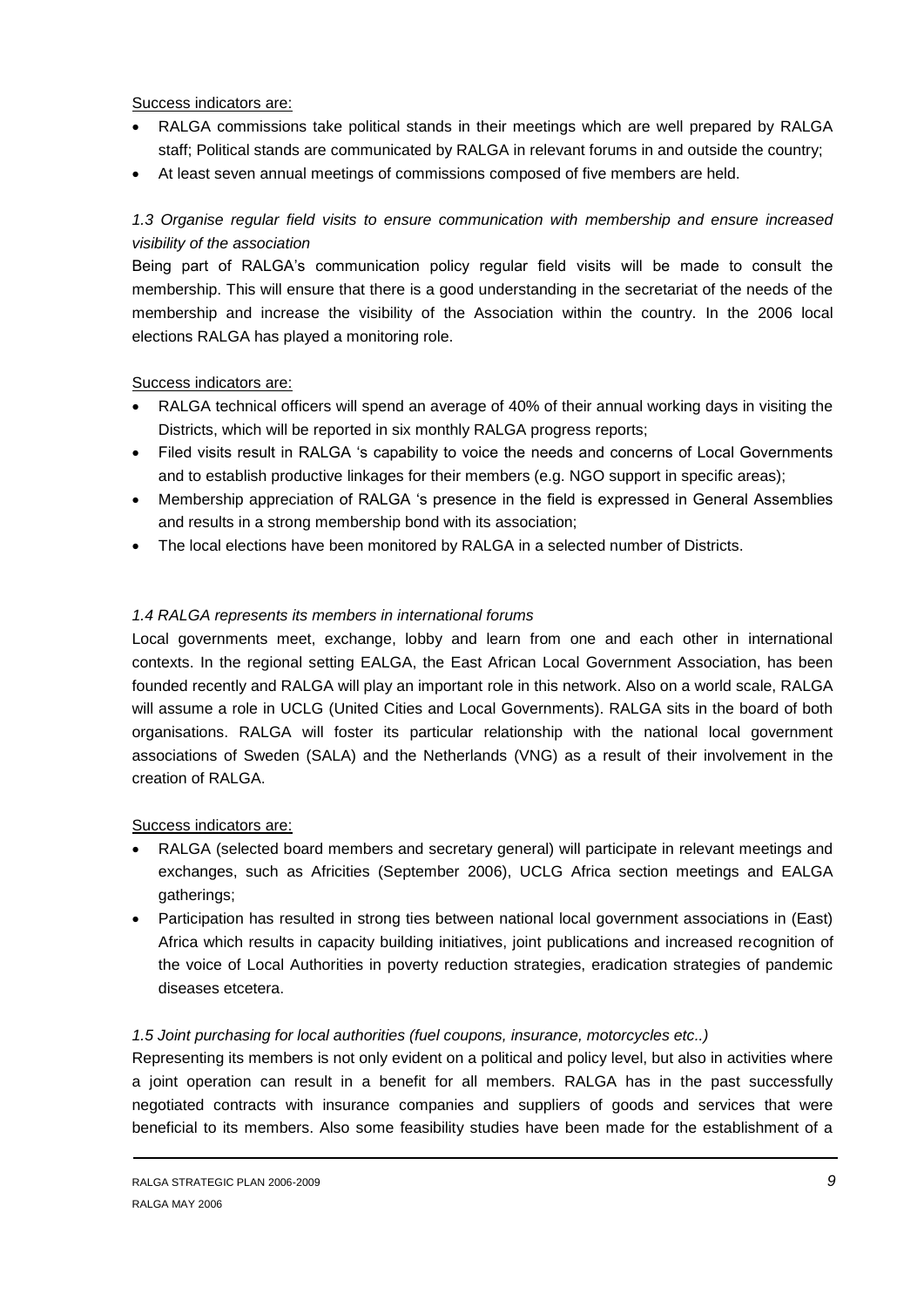Success indicators are:

- RALGA commissions take political stands in their meetings which are well prepared by RALGA staff; Political stands are communicated by RALGA in relevant forums in and outside the country;
- At least seven annual meetings of commissions composed of five members are held.

## *1.3 Organise regular field visits to ensure communication with membership and ensure increased visibility of the association*

Being part of RALGA's communication policy regular field visits will be made to consult the membership. This will ensure that there is a good understanding in the secretariat of the needs of the membership and increase the visibility of the Association within the country. In the 2006 local elections RALGA has played a monitoring role.

## Success indicators are:

- RALGA technical officers will spend an average of 40% of their annual working days in visiting the Districts, which will be reported in six monthly RALGA progress reports;
- Filed visits result in RALGA 's capability to voice the needs and concerns of Local Governments and to establish productive linkages for their members (e.g. NGO support in specific areas);
- Membership appreciation of RALGA 's presence in the field is expressed in General Assemblies and results in a strong membership bond with its association;
- The local elections have been monitored by RALGA in a selected number of Districts.

## *1.4 RALGA represents its members in international forums*

Local governments meet, exchange, lobby and learn from one and each other in international contexts. In the regional setting EALGA, the East African Local Government Association, has been founded recently and RALGA will play an important role in this network. Also on a world scale, RALGA will assume a role in UCLG (United Cities and Local Governments). RALGA sits in the board of both organisations. RALGA will foster its particular relationship with the national local government associations of Sweden (SALA) and the Netherlands (VNG) as a result of their involvement in the creation of RALGA.

## Success indicators are:

- RALGA (selected board members and secretary general) will participate in relevant meetings and exchanges, such as Africities (September 2006), UCLG Africa section meetings and EALGA gatherings;
- Participation has resulted in strong ties between national local government associations in (East) Africa which results in capacity building initiatives, joint publications and increased recognition of the voice of Local Authorities in poverty reduction strategies, eradication strategies of pandemic diseases etcetera.

## *1.5 Joint purchasing for local authorities (fuel coupons, insurance, motorcycles etc..)*

Representing its members is not only evident on a political and policy level, but also in activities where a joint operation can result in a benefit for all members. RALGA has in the past successfully negotiated contracts with insurance companies and suppliers of goods and services that were beneficial to its members. Also some feasibility studies have been made for the establishment of a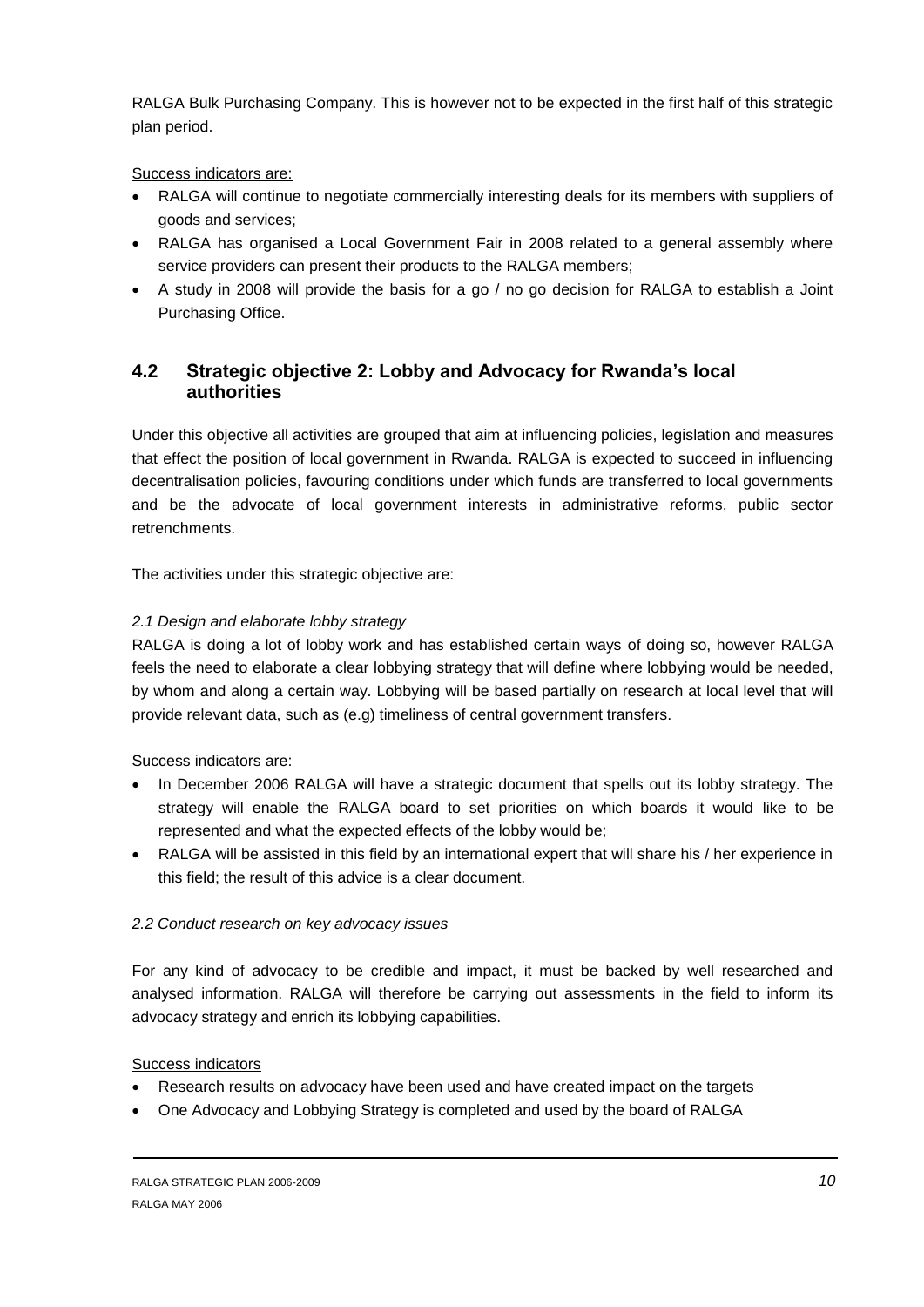RALGA Bulk Purchasing Company. This is however not to be expected in the first half of this strategic plan period.

## Success indicators are:

- RALGA will continue to negotiate commercially interesting deals for its members with suppliers of goods and services;
- RALGA has organised a Local Government Fair in 2008 related to a general assembly where service providers can present their products to the RALGA members;
- A study in 2008 will provide the basis for a go / no go decision for RALGA to establish a Joint Purchasing Office.

## <span id="page-9-0"></span>**4.2 Strategic objective 2: Lobby and Advocacy for Rwanda's local authorities**

Under this objective all activities are grouped that aim at influencing policies, legislation and measures that effect the position of local government in Rwanda. RALGA is expected to succeed in influencing decentralisation policies, favouring conditions under which funds are transferred to local governments and be the advocate of local government interests in administrative reforms, public sector retrenchments.

The activities under this strategic objective are:

## *2.1 Design and elaborate lobby strategy*

RALGA is doing a lot of lobby work and has established certain ways of doing so, however RALGA feels the need to elaborate a clear lobbying strategy that will define where lobbying would be needed, by whom and along a certain way. Lobbying will be based partially on research at local level that will provide relevant data, such as (e.g) timeliness of central government transfers.

## Success indicators are:

- In December 2006 RALGA will have a strategic document that spells out its lobby strategy. The strategy will enable the RALGA board to set priorities on which boards it would like to be represented and what the expected effects of the lobby would be;
- RALGA will be assisted in this field by an international expert that will share his / her experience in this field; the result of this advice is a clear document.

## *2.2 Conduct research on key advocacy issues*

For any kind of advocacy to be credible and impact, it must be backed by well researched and analysed information. RALGA will therefore be carrying out assessments in the field to inform its advocacy strategy and enrich its lobbying capabilities.

## Success indicators

- Research results on advocacy have been used and have created impact on the targets
- One Advocacy and Lobbying Strategy is completed and used by the board of RALGA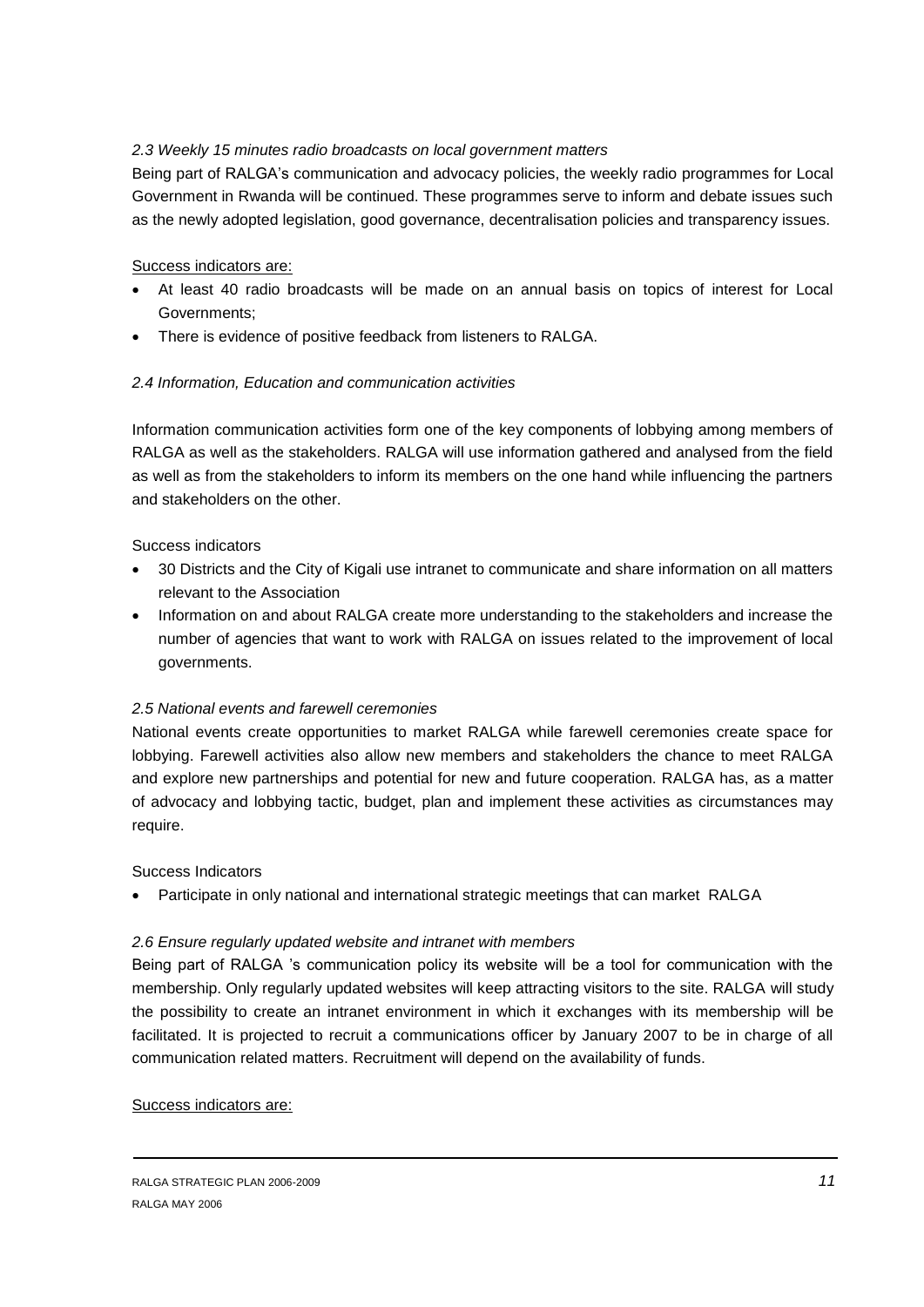## *2.3 Weekly 15 minutes radio broadcasts on local government matters*

Being part of RALGA's communication and advocacy policies, the weekly radio programmes for Local Government in Rwanda will be continued. These programmes serve to inform and debate issues such as the newly adopted legislation, good governance, decentralisation policies and transparency issues.

## Success indicators are:

- At least 40 radio broadcasts will be made on an annual basis on topics of interest for Local Governments;
- There is evidence of positive feedback from listeners to RALGA.

## *2.4 Information, Education and communication activities*

Information communication activities form one of the key components of lobbying among members of RALGA as well as the stakeholders. RALGA will use information gathered and analysed from the field as well as from the stakeholders to inform its members on the one hand while influencing the partners and stakeholders on the other.

## Success indicators

- 30 Districts and the City of Kigali use intranet to communicate and share information on all matters relevant to the Association
- Information on and about RALGA create more understanding to the stakeholders and increase the number of agencies that want to work with RALGA on issues related to the improvement of local governments.

## *2.5 National events and farewell ceremonies*

National events create opportunities to market RALGA while farewell ceremonies create space for lobbying. Farewell activities also allow new members and stakeholders the chance to meet RALGA and explore new partnerships and potential for new and future cooperation. RALGA has, as a matter of advocacy and lobbying tactic, budget, plan and implement these activities as circumstances may require.

## Success Indicators

Participate in only national and international strategic meetings that can market RALGA

## *2.6 Ensure regularly updated website and intranet with members*

Being part of RALGA 's communication policy its website will be a tool for communication with the membership. Only regularly updated websites will keep attracting visitors to the site. RALGA will study the possibility to create an intranet environment in which it exchanges with its membership will be facilitated. It is projected to recruit a communications officer by January 2007 to be in charge of all communication related matters. Recruitment will depend on the availability of funds.

#### Success indicators are: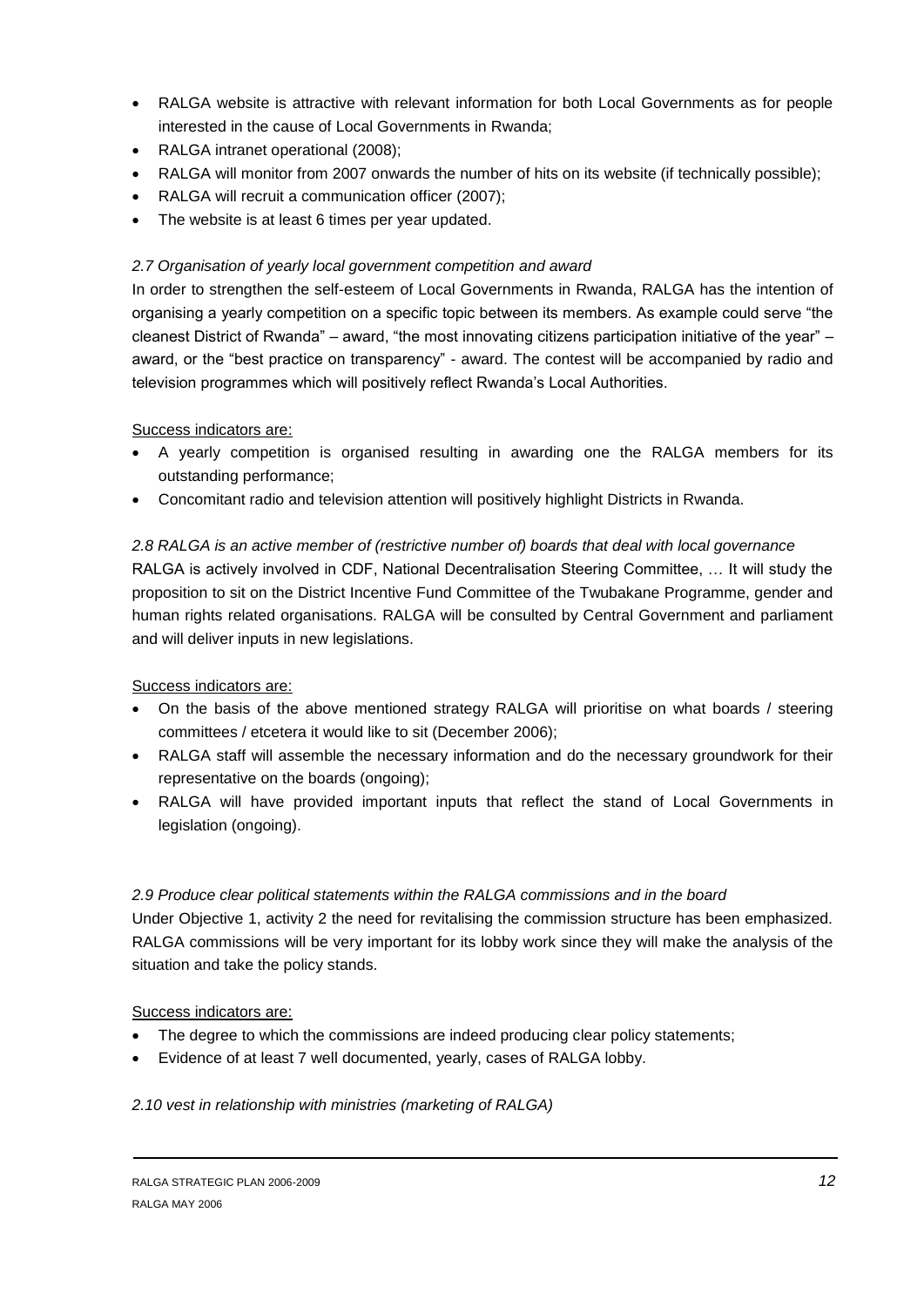- RALGA website is attractive with relevant information for both Local Governments as for people interested in the cause of Local Governments in Rwanda;
- RALGA intranet operational (2008);
- RALGA will monitor from 2007 onwards the number of hits on its website (if technically possible);
- RALGA will recruit a communication officer (2007);
- The website is at least 6 times per year updated.

## *2.7 Organisation of yearly local government competition and award*

In order to strengthen the self-esteem of Local Governments in Rwanda, RALGA has the intention of organising a yearly competition on a specific topic between its members. As example could serve "the cleanest District of Rwanda" – award, "the most innovating citizens participation initiative of the year" – award, or the "best practice on transparency" - award. The contest will be accompanied by radio and television programmes which will positively reflect Rwanda's Local Authorities.

#### Success indicators are:

- A yearly competition is organised resulting in awarding one the RALGA members for its outstanding performance;
- Concomitant radio and television attention will positively highlight Districts in Rwanda.

#### *2.8 RALGA is an active member of (restrictive number of) boards that deal with local governance*

RALGA is actively involved in CDF, National Decentralisation Steering Committee, … It will study the proposition to sit on the District Incentive Fund Committee of the Twubakane Programme, gender and human rights related organisations. RALGA will be consulted by Central Government and parliament and will deliver inputs in new legislations.

#### Success indicators are:

- On the basis of the above mentioned strategy RALGA will prioritise on what boards / steering committees / etcetera it would like to sit (December 2006);
- RALGA staff will assemble the necessary information and do the necessary groundwork for their representative on the boards (ongoing);
- RALGA will have provided important inputs that reflect the stand of Local Governments in legislation (ongoing).

#### *2.9 Produce clear political statements within the RALGA commissions and in the board*

Under Objective 1, activity 2 the need for revitalising the commission structure has been emphasized. RALGA commissions will be very important for its lobby work since they will make the analysis of the situation and take the policy stands.

## Success indicators are:

- The degree to which the commissions are indeed producing clear policy statements;
- Evidence of at least 7 well documented, yearly, cases of RALGA lobby.

#### *2.10 vest in relationship with ministries (marketing of RALGA)*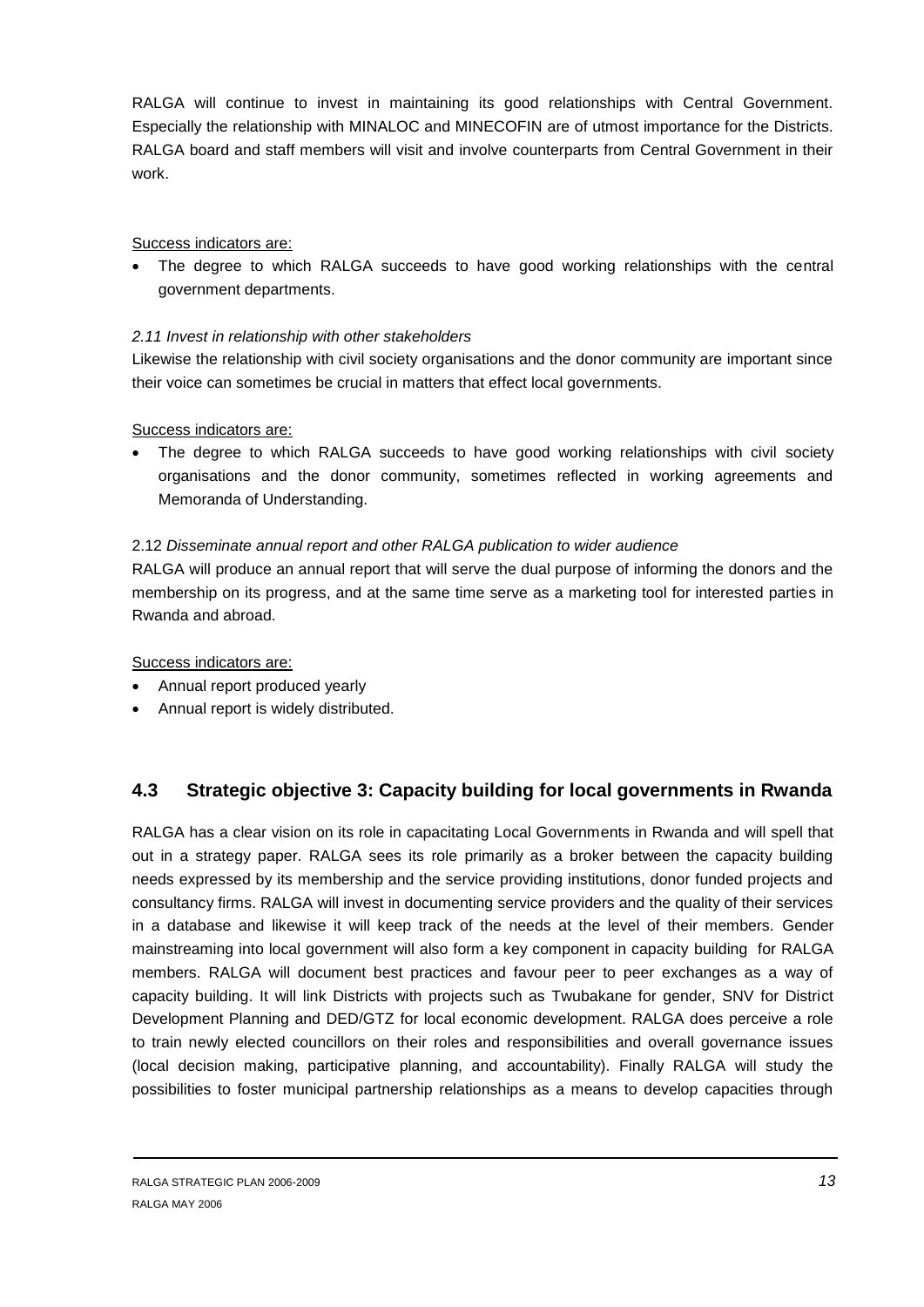RALGA will continue to invest in maintaining its good relationships with Central Government. Especially the relationship with MINALOC and MINECOFIN are of utmost importance for the Districts. RALGA board and staff members will visit and involve counterparts from Central Government in their work.

#### Success indicators are:

 The degree to which RALGA succeeds to have good working relationships with the central government departments.

## *2.11 Invest in relationship with other stakeholders*

Likewise the relationship with civil society organisations and the donor community are important since their voice can sometimes be crucial in matters that effect local governments.

#### Success indicators are:

 The degree to which RALGA succeeds to have good working relationships with civil society organisations and the donor community, sometimes reflected in working agreements and Memoranda of Understanding.

#### 2.12 *Disseminate annual report and other RALGA publication to wider audience*

RALGA will produce an annual report that will serve the dual purpose of informing the donors and the membership on its progress, and at the same time serve as a marketing tool for interested parties in Rwanda and abroad.

Success indicators are:

- Annual report produced yearly
- Annual report is widely distributed.

## <span id="page-12-0"></span>**4.3 Strategic objective 3: Capacity building for local governments in Rwanda**

RALGA has a clear vision on its role in capacitating Local Governments in Rwanda and will spell that out in a strategy paper. RALGA sees its role primarily as a broker between the capacity building needs expressed by its membership and the service providing institutions, donor funded projects and consultancy firms. RALGA will invest in documenting service providers and the quality of their services in a database and likewise it will keep track of the needs at the level of their members. Gender mainstreaming into local government will also form a key component in capacity building for RALGA members. RALGA will document best practices and favour peer to peer exchanges as a way of capacity building. It will link Districts with projects such as Twubakane for gender, SNV for District Development Planning and DED/GTZ for local economic development. RALGA does perceive a role to train newly elected councillors on their roles and responsibilities and overall governance issues (local decision making, participative planning, and accountability). Finally RALGA will study the possibilities to foster municipal partnership relationships as a means to develop capacities through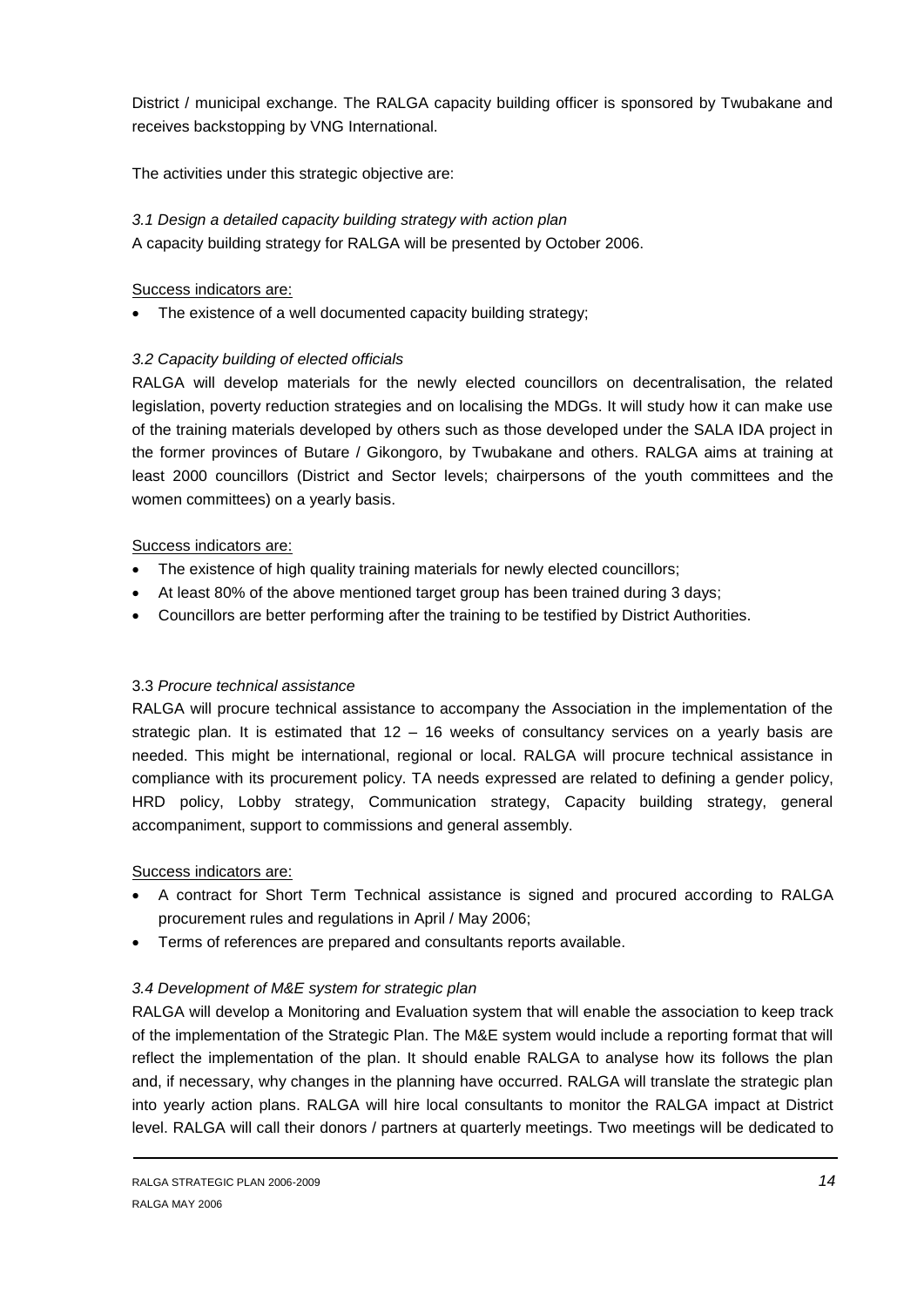District / municipal exchange. The RALGA capacity building officer is sponsored by Twubakane and receives backstopping by VNG International.

The activities under this strategic objective are:

## *3.1 Design a detailed capacity building strategy with action plan*

A capacity building strategy for RALGA will be presented by October 2006.

## Success indicators are:

The existence of a well documented capacity building strategy;

## *3.2 Capacity building of elected officials*

RALGA will develop materials for the newly elected councillors on decentralisation, the related legislation, poverty reduction strategies and on localising the MDGs. It will study how it can make use of the training materials developed by others such as those developed under the SALA IDA project in the former provinces of Butare / Gikongoro, by Twubakane and others. RALGA aims at training at least 2000 councillors (District and Sector levels; chairpersons of the youth committees and the women committees) on a yearly basis.

## Success indicators are:

- The existence of high quality training materials for newly elected councillors;
- At least 80% of the above mentioned target group has been trained during 3 days;
- Councillors are better performing after the training to be testified by District Authorities.

## 3.3 *Procure technical assistance*

RALGA will procure technical assistance to accompany the Association in the implementation of the strategic plan. It is estimated that 12 – 16 weeks of consultancy services on a yearly basis are needed. This might be international, regional or local. RALGA will procure technical assistance in compliance with its procurement policy. TA needs expressed are related to defining a gender policy, HRD policy, Lobby strategy, Communication strategy, Capacity building strategy, general accompaniment, support to commissions and general assembly.

## Success indicators are:

- A contract for Short Term Technical assistance is signed and procured according to RALGA procurement rules and regulations in April / May 2006;
- Terms of references are prepared and consultants reports available.

## *3.4 Development of M&E system for strategic plan*

RALGA will develop a Monitoring and Evaluation system that will enable the association to keep track of the implementation of the Strategic Plan. The M&E system would include a reporting format that will reflect the implementation of the plan. It should enable RALGA to analyse how its follows the plan and, if necessary, why changes in the planning have occurred. RALGA will translate the strategic plan into yearly action plans. RALGA will hire local consultants to monitor the RALGA impact at District level. RALGA will call their donors / partners at quarterly meetings. Two meetings will be dedicated to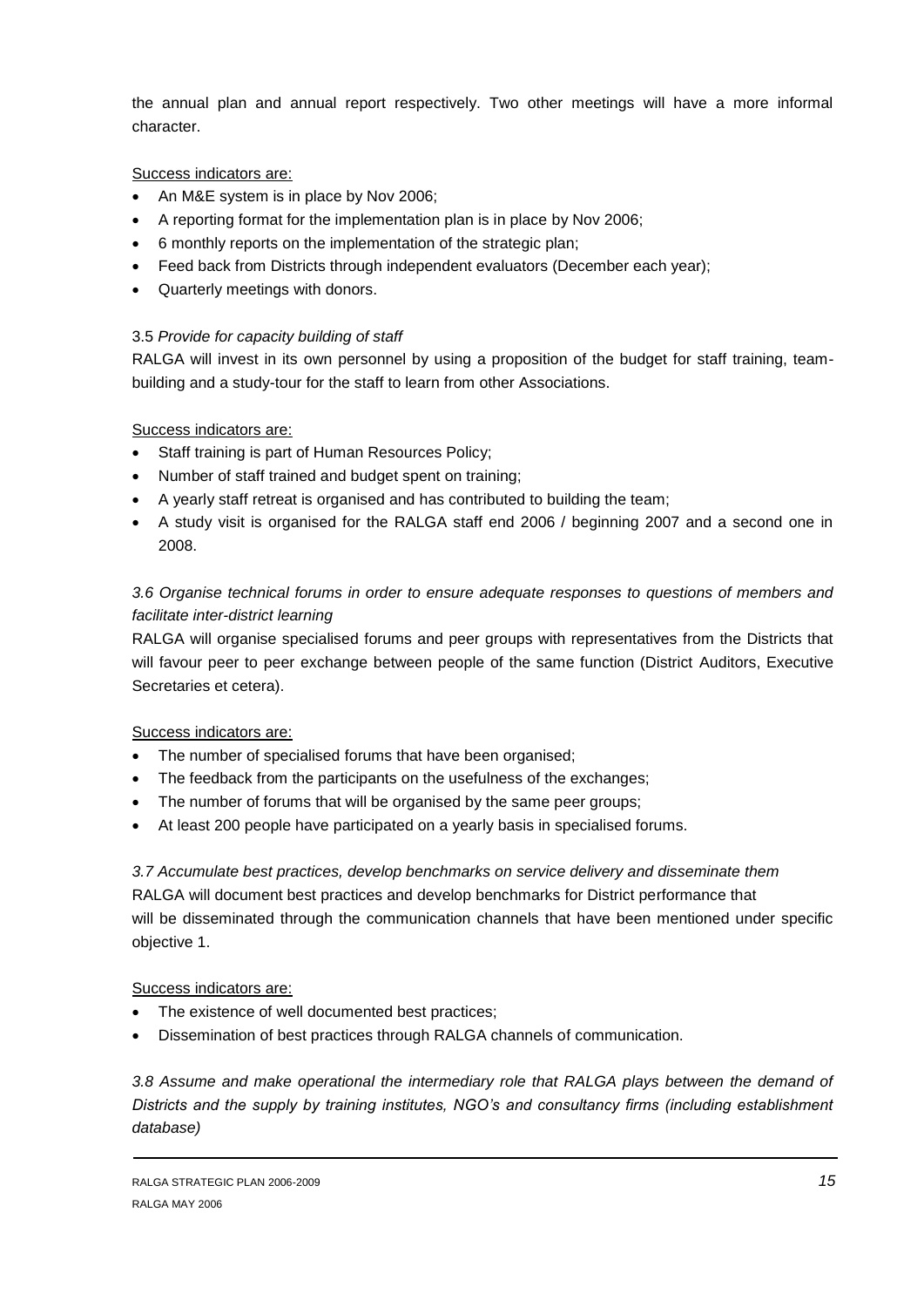the annual plan and annual report respectively. Two other meetings will have a more informal character.

Success indicators are:

- An M&E system is in place by Nov 2006;
- A reporting format for the implementation plan is in place by Nov 2006;
- 6 monthly reports on the implementation of the strategic plan;
- Feed back from Districts through independent evaluators (December each year);
- Quarterly meetings with donors.

## 3.5 *Provide for capacity building of staff*

RALGA will invest in its own personnel by using a proposition of the budget for staff training, teambuilding and a study-tour for the staff to learn from other Associations.

## Success indicators are:

- Staff training is part of Human Resources Policy;
- Number of staff trained and budget spent on training;
- A yearly staff retreat is organised and has contributed to building the team;
- A study visit is organised for the RALGA staff end 2006 / beginning 2007 and a second one in 2008.

## *3.6 Organise technical forums in order to ensure adequate responses to questions of members and facilitate inter-district learning*

RALGA will organise specialised forums and peer groups with representatives from the Districts that will favour peer to peer exchange between people of the same function (District Auditors, Executive Secretaries et cetera).

Success indicators are:

- The number of specialised forums that have been organised;
- The feedback from the participants on the usefulness of the exchanges;
- The number of forums that will be organised by the same peer groups;
- At least 200 people have participated on a yearly basis in specialised forums.

## *3.7 Accumulate best practices, develop benchmarks on service delivery and disseminate them*

RALGA will document best practices and develop benchmarks for District performance that will be disseminated through the communication channels that have been mentioned under specific objective 1.

## Success indicators are:

- The existence of well documented best practices;
- Dissemination of best practices through RALGA channels of communication.

*3.8 Assume and make operational the intermediary role that RALGA plays between the demand of Districts and the supply by training institutes, NGO's and consultancy firms (including establishment database)*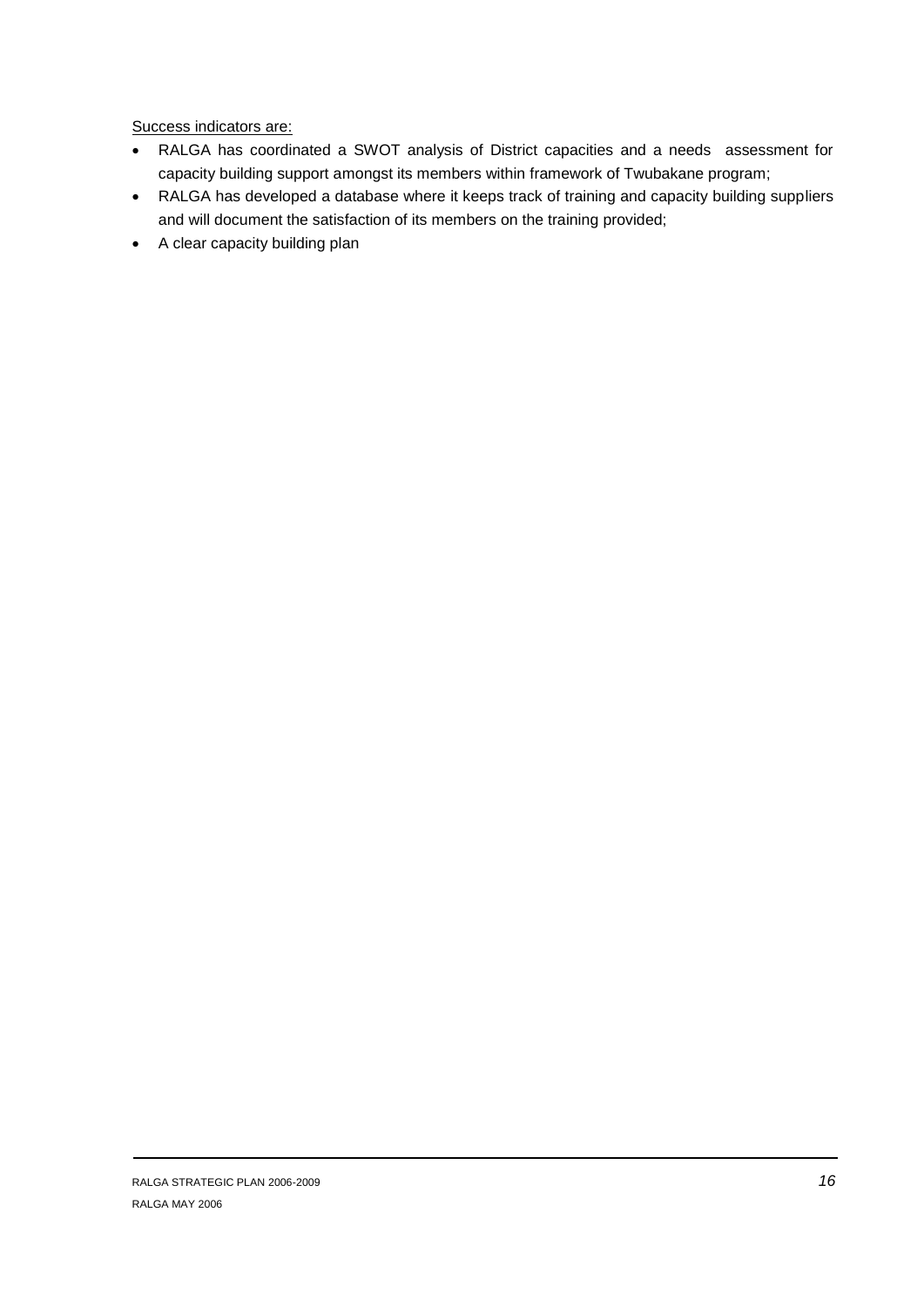Success indicators are:

- RALGA has coordinated a SWOT analysis of District capacities and a needs assessment for capacity building support amongst its members within framework of Twubakane program;
- RALGA has developed a database where it keeps track of training and capacity building suppliers and will document the satisfaction of its members on the training provided;
- A clear capacity building plan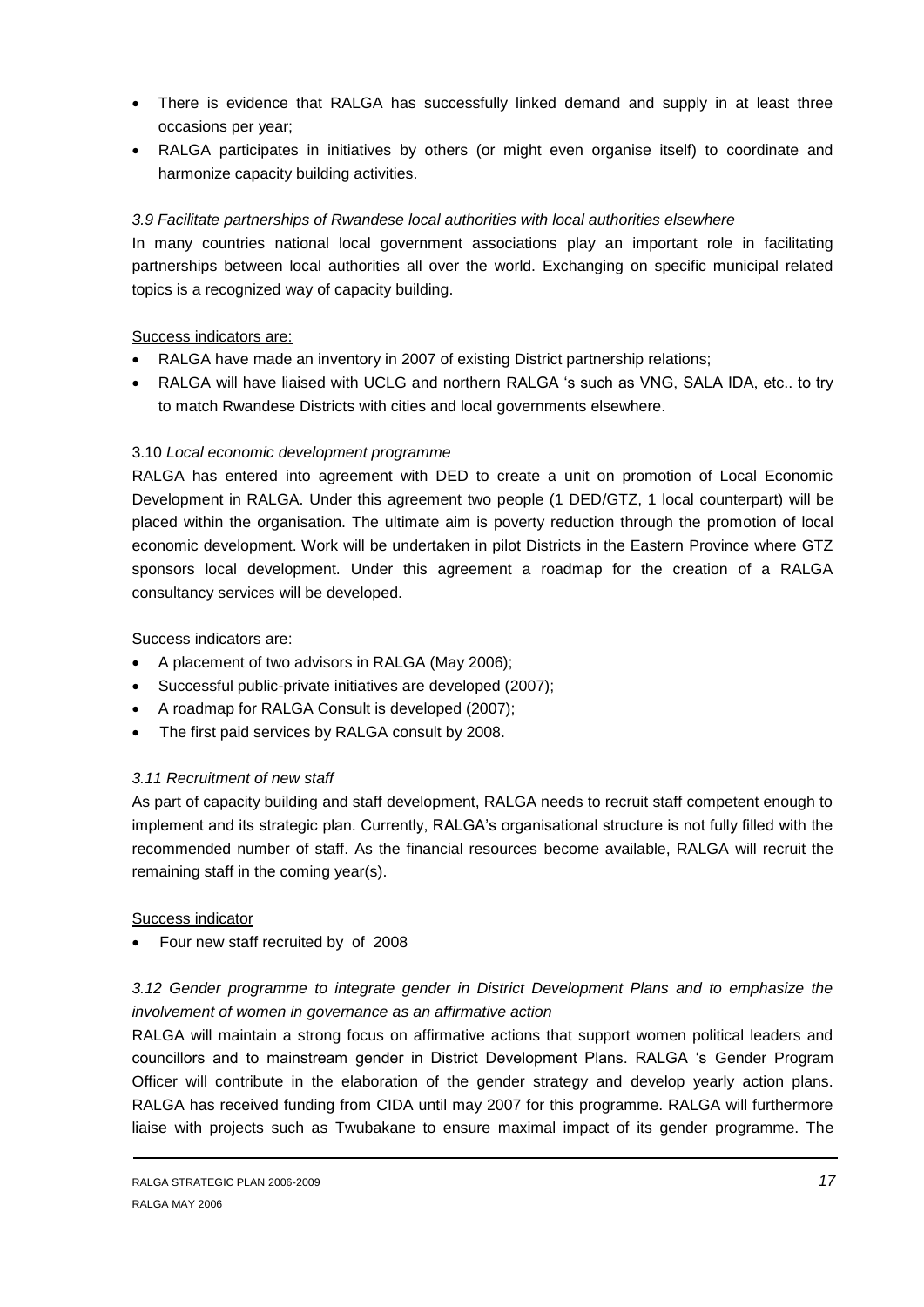- There is evidence that RALGA has successfully linked demand and supply in at least three occasions per year;
- RALGA participates in initiatives by others (or might even organise itself) to coordinate and harmonize capacity building activities.

#### *3.9 Facilitate partnerships of Rwandese local authorities with local authorities elsewhere*

In many countries national local government associations play an important role in facilitating partnerships between local authorities all over the world. Exchanging on specific municipal related topics is a recognized way of capacity building.

#### Success indicators are:

- RALGA have made an inventory in 2007 of existing District partnership relations;
- RALGA will have liaised with UCLG and northern RALGA 's such as VNG, SALA IDA, etc.. to try to match Rwandese Districts with cities and local governments elsewhere.

## 3.10 *Local economic development programme*

RALGA has entered into agreement with DED to create a unit on promotion of Local Economic Development in RALGA. Under this agreement two people (1 DED/GTZ, 1 local counterpart) will be placed within the organisation. The ultimate aim is poverty reduction through the promotion of local economic development. Work will be undertaken in pilot Districts in the Eastern Province where GTZ sponsors local development. Under this agreement a roadmap for the creation of a RALGA consultancy services will be developed.

#### Success indicators are:

- A placement of two advisors in RALGA (May 2006);
- Successful public-private initiatives are developed (2007);
- A roadmap for RALGA Consult is developed (2007);
- The first paid services by RALGA consult by 2008.

## *3.11 Recruitment of new staff*

As part of capacity building and staff development, RALGA needs to recruit staff competent enough to implement and its strategic plan. Currently, RALGA's organisational structure is not fully filled with the recommended number of staff. As the financial resources become available, RALGA will recruit the remaining staff in the coming year(s).

#### Success indicator

Four new staff recruited by of 2008

## *3.12 Gender programme to integrate gender in District Development Plans and to emphasize the involvement of women in governance as an affirmative action*

RALGA will maintain a strong focus on affirmative actions that support women political leaders and councillors and to mainstream gender in District Development Plans. RALGA 's Gender Program Officer will contribute in the elaboration of the gender strategy and develop yearly action plans. RALGA has received funding from CIDA until may 2007 for this programme. RALGA will furthermore liaise with projects such as Twubakane to ensure maximal impact of its gender programme. The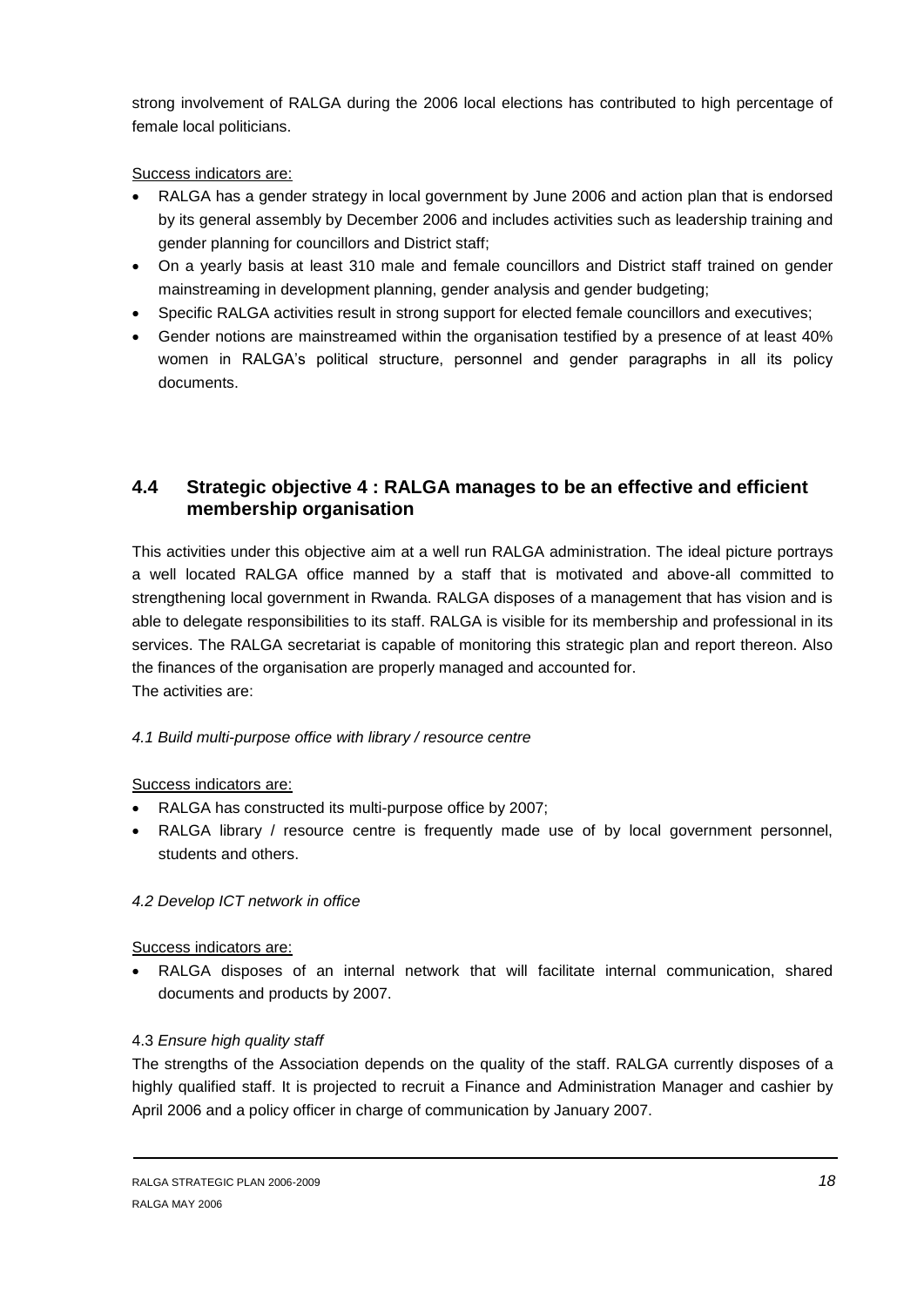strong involvement of RALGA during the 2006 local elections has contributed to high percentage of female local politicians.

Success indicators are:

- RALGA has a gender strategy in local government by June 2006 and action plan that is endorsed by its general assembly by December 2006 and includes activities such as leadership training and gender planning for councillors and District staff;
- On a yearly basis at least 310 male and female councillors and District staff trained on gender mainstreaming in development planning, gender analysis and gender budgeting;
- Specific RALGA activities result in strong support for elected female councillors and executives;
- Gender notions are mainstreamed within the organisation testified by a presence of at least 40% women in RALGA's political structure, personnel and gender paragraphs in all its policy documents.

## <span id="page-17-0"></span>**4.4 Strategic objective 4 : RALGA manages to be an effective and efficient membership organisation**

This activities under this objective aim at a well run RALGA administration. The ideal picture portrays a well located RALGA office manned by a staff that is motivated and above-all committed to strengthening local government in Rwanda. RALGA disposes of a management that has vision and is able to delegate responsibilities to its staff. RALGA is visible for its membership and professional in its services. The RALGA secretariat is capable of monitoring this strategic plan and report thereon. Also the finances of the organisation are properly managed and accounted for. The activities are:

## *4.1 Build multi-purpose office with library / resource centre*

## Success indicators are:

- RALGA has constructed its multi-purpose office by 2007;
- RALGA library / resource centre is frequently made use of by local government personnel, students and others.

## *4.2 Develop ICT network in office*

Success indicators are:

 RALGA disposes of an internal network that will facilitate internal communication, shared documents and products by 2007.

## 4.3 *Ensure high quality staff*

The strengths of the Association depends on the quality of the staff. RALGA currently disposes of a highly qualified staff. It is projected to recruit a Finance and Administration Manager and cashier by April 2006 and a policy officer in charge of communication by January 2007.